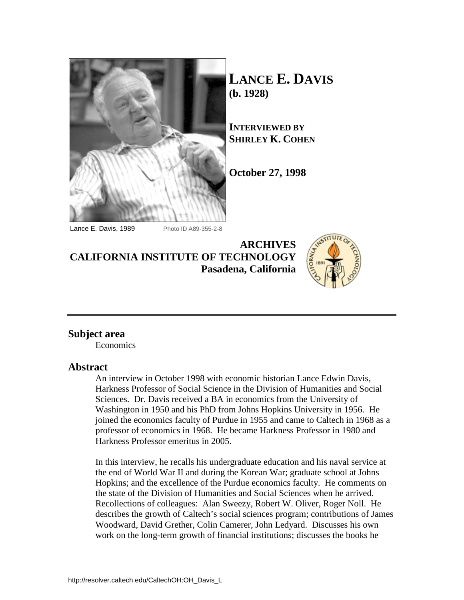

**LANCE E. DAVIS (b. 1928)** 

**INTERVIEWED BY SHIRLEY K. COHEN**

**October 27, 1998**

Lance E. Davis, 1989 Photo ID A89-355-2-8

**ARCHIVES CALIFORNIA INSTITUTE OF TECHNOLOGY Pasadena, California**



## **Subject area**

Economics

### **Abstract**

An interview in October 1998 with economic historian Lance Edwin Davis, Harkness Professor of Social Science in the Division of Humanities and Social Sciences. Dr. Davis received a BA in economics from the University of Washington in 1950 and his PhD from Johns Hopkins University in 1956. He joined the economics faculty of Purdue in 1955 and came to Caltech in 1968 as a professor of economics in 1968. He became Harkness Professor in 1980 and Harkness Professor emeritus in 2005.

In this interview, he recalls his undergraduate education and his naval service at the end of World War II and during the Korean War; graduate school at Johns Hopkins; and the excellence of the Purdue economics faculty. He comments on the state of the Division of Humanities and Social Sciences when he arrived. Recollections of colleagues: Alan Sweezy, Robert W. Oliver, Roger Noll. He describes the growth of Caltech's social sciences program; contributions of James Woodward, David Grether, Colin Camerer, John Ledyard. Discusses his own work on the long-term growth of financial institutions; discusses the books he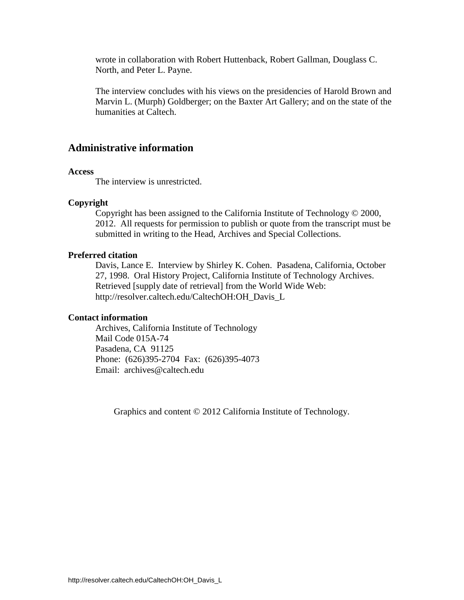wrote in collaboration with Robert Huttenback, Robert Gallman, Douglass C. North, and Peter L. Payne.

The interview concludes with his views on the presidencies of Harold Brown and Marvin L. (Murph) Goldberger; on the Baxter Art Gallery; and on the state of the humanities at Caltech.

# **Administrative information**

#### **Access**

The interview is unrestricted.

#### **Copyright**

Copyright has been assigned to the California Institute of Technology © 2000, 2012. All requests for permission to publish or quote from the transcript must be submitted in writing to the Head, Archives and Special Collections.

### **Preferred citation**

Davis, Lance E. Interview by Shirley K. Cohen. Pasadena, California, October 27, 1998. Oral History Project, California Institute of Technology Archives. Retrieved [supply date of retrieval] from the World Wide Web: http://resolver.caltech.edu/CaltechOH:OH\_Davis\_L

#### **Contact information**

Archives, California Institute of Technology Mail Code 015A-74 Pasadena, CA 91125 Phone: (626)395-2704 Fax: (626)395-4073 Email: archives@caltech.edu

Graphics and content © 2012 California Institute of Technology.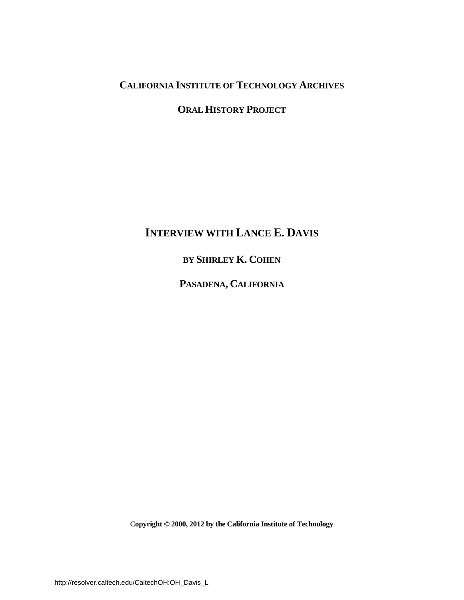# **CALIFORNIA INSTITUTE OF TECHNOLOGY ARCHIVES**

# **ORAL HISTORY PROJECT**

# **INTERVIEW WITH LANCE E. DAVIS**

# **BY SHIRLEY K. COHEN**

**PASADENA, CALIFORNIA**

C**opyright © 2000, 2012 by the California Institute of Technology**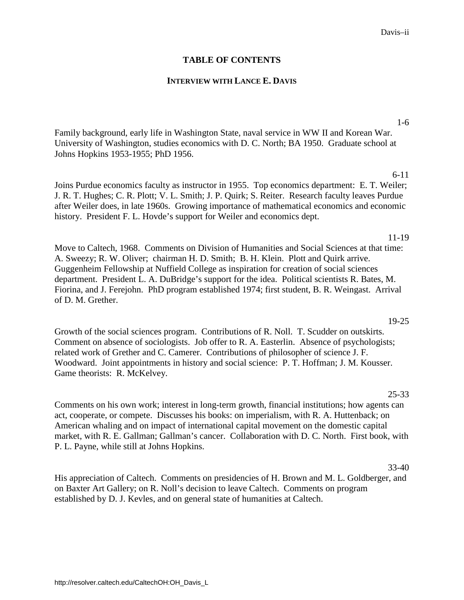### **TABLE OF CONTENTS**

### **INTERVIEW WITH LANCE E. DAVIS**

[Family background, early life in Washington State, naval service in WW II and Korean War.](#page-4-0)  University of Washington, studies economics with D. C. North; BA 1950. Graduate school at Johns Hopkins 1953-1955; PhD 1956.

Joins Purdue economics faculty as instructor in 1955. Top economics department: E. T. Weiler; [J. R. T. Hughes; C. R. Plott; V. L. Smith; J. P. Quirk; S. Reiter. Research faculty leaves Purdue](#page-9-0)  after Weiler does, in late 1960s. Growing importance of mathematical economics and economic history. President F. L. Hovde's support for Weiler and economics dept.

Move to Caltech, 1968. Comments on Division of Humanities and Social Sciences at that time: A. Sweezy; R. W. Oliver; chairman H. D. Smith; B. H. Klein. Plott and Quirk arrive. Guggenheim Fellowship at Nuffield College as inspiration for creation of social sciences department. President L. A. DuBridge's support for the idea. Political scientists R. Bates, M. [Fiorina, and J. Ferejohn. PhD program established 1974; first student, B. R. Weingast. Arrival](#page-14-0)  of D. M. Grether.

Growth of the social sciences program. Contributions of R. Noll. T. Scudder on outskirts. [Comment on absence of sociologists. Job offer to R. A. Easterlin. Absence of psychologists;](#page-22-0)  related work of Grether and C. Camerer. Contributions of philosopher of science J. F. Woodward. Joint appointments in history and social science: P. T. Hoffman; J. M. Kousser. Game theorists: R. McKelvey.

### 25-33

[Comments on his own work; interest in long-term growth, financial institutions; how agents can](#page-28-0)  act, cooperate, or compete. Discusses his books: on imperialism, with R. A. Huttenback; on American whaling and on impact of international capital movement on the domestic capital market, with R. E. Gallman; Gallman's cancer. Collaboration with D. C. North. First book, with P. L. Payne, while still at Johns Hopkins.

### 33-40

[His appreciation of Caltech. Comments on presidencies of H. Brown and M. L. Goldberger, and](#page-36-0)  on Baxter Art Gallery; on R. Noll's decision to leave Caltech. Comments on program established by D. J. Kevles, and on general state of humanities at Caltech.

### 1-6

6-11

11-19

# 19-25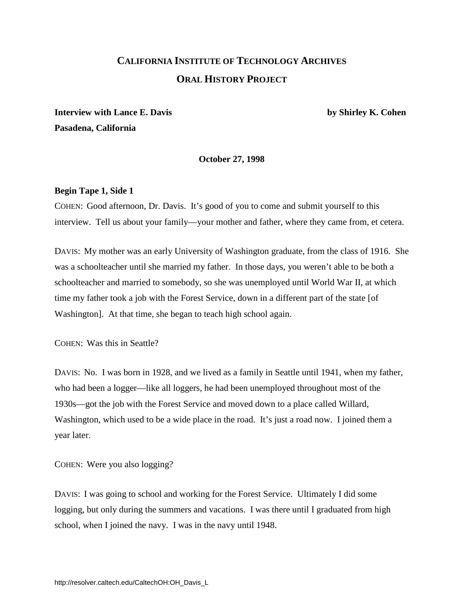# **CALIFORNIA INSTITUTE OF TECHNOLOGY ARCHIVES ORAL HISTORY PROJECT**

<span id="page-4-0"></span>**Interview with Lance E. Davis by Shirley K. Cohen Pasadena, California**

**October 27, 1998**

### **Begin Tape 1, Side 1**

COHEN:Good afternoon, Dr. Davis. It's good of you to come and submit yourself to this interview. Tell us about your family—your mother and father, where they came from, et cetera.

DAVIS: My mother was an early University of Washington graduate, from the class of 1916. She was a schoolteacher until she married my father. In those days, you weren't able to be both a schoolteacher and married to somebody, so she was unemployed until World War II, at which time my father took a job with the Forest Service, down in a different part of the state [of Washington]. At that time, she began to teach high school again.

COHEN: Was this in Seattle?

DAVIS: No. I was born in 1928, and we lived as a family in Seattle until 1941, when my father, who had been a logger—like all loggers, he had been unemployed throughout most of the 1930s—got the job with the Forest Service and moved down to a place called Willard, Washington, which used to be a wide place in the road. It's just a road now. I joined them a year later.

COHEN: Were you also logging?

DAVIS: I was going to school and working for the Forest Service. Ultimately I did some logging, but only during the summers and vacations. I was there until I graduated from high school, when I joined the navy. I was in the navy until 1948.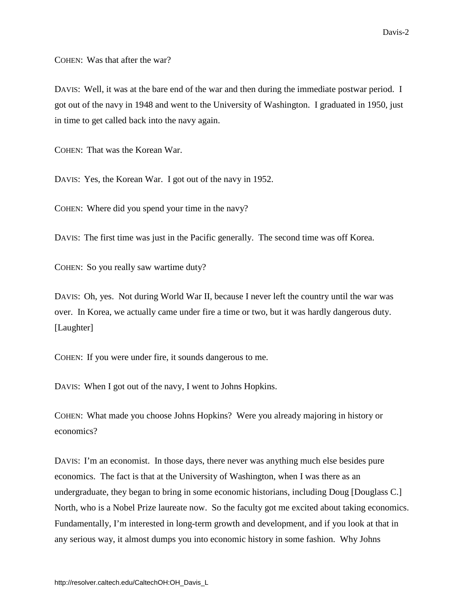COHEN: Was that after the war?

DAVIS: Well, it was at the bare end of the war and then during the immediate postwar period. I got out of the navy in 1948 and went to the University of Washington. I graduated in 1950, just in time to get called back into the navy again.

COHEN: That was the Korean War.

DAVIS: Yes, the Korean War. I got out of the navy in 1952.

COHEN: Where did you spend your time in the navy?

DAVIS: The first time was just in the Pacific generally. The second time was off Korea.

COHEN: So you really saw wartime duty?

DAVIS: Oh, yes. Not during World War II, because I never left the country until the war was over. In Korea, we actually came under fire a time or two, but it was hardly dangerous duty. [Laughter]

COHEN: If you were under fire, it sounds dangerous to me.

DAVIS: When I got out of the navy, I went to Johns Hopkins.

COHEN: What made you choose Johns Hopkins? Were you already majoring in history or economics?

DAVIS: I'm an economist. In those days, there never was anything much else besides pure economics. The fact is that at the University of Washington, when I was there as an undergraduate, they began to bring in some economic historians, including Doug [Douglass C.] North, who is a Nobel Prize laureate now. So the faculty got me excited about taking economics. Fundamentally, I'm interested in long-term growth and development, and if you look at that in any serious way, it almost dumps you into economic history in some fashion. Why Johns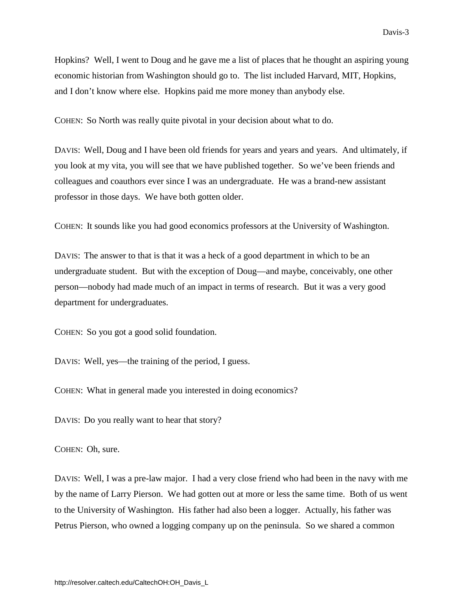Hopkins? Well, I went to Doug and he gave me a list of places that he thought an aspiring young economic historian from Washington should go to. The list included Harvard, MIT, Hopkins, and I don't know where else. Hopkins paid me more money than anybody else.

COHEN: So North was really quite pivotal in your decision about what to do.

DAVIS: Well, Doug and I have been old friends for years and years and years. And ultimately, if you look at my vita, you will see that we have published together. So we've been friends and colleagues and coauthors ever since I was an undergraduate. He was a brand-new assistant professor in those days. We have both gotten older.

COHEN: It sounds like you had good economics professors at the University of Washington.

DAVIS: The answer to that is that it was a heck of a good department in which to be an undergraduate student. But with the exception of Doug—and maybe, conceivably, one other person—nobody had made much of an impact in terms of research. But it was a very good department for undergraduates.

COHEN: So you got a good solid foundation.

DAVIS: Well, yes—the training of the period, I guess.

COHEN: What in general made you interested in doing economics?

DAVIS: Do you really want to hear that story?

COHEN: Oh, sure.

DAVIS: Well, I was a pre-law major. I had a very close friend who had been in the navy with me by the name of Larry Pierson. We had gotten out at more or less the same time. Both of us went to the University of Washington. His father had also been a logger. Actually, his father was Petrus Pierson, who owned a logging company up on the peninsula. So we shared a common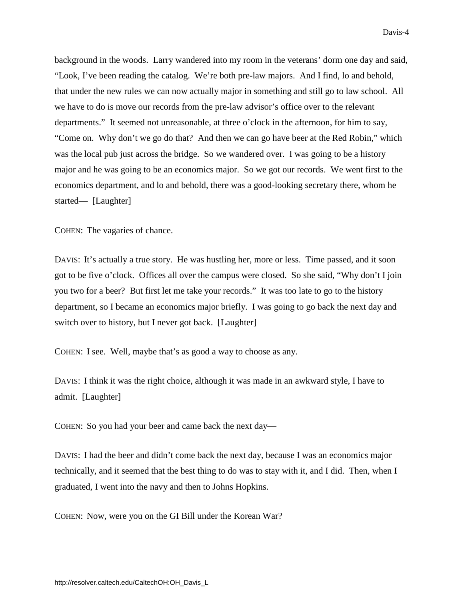background in the woods. Larry wandered into my room in the veterans' dorm one day and said, "Look, I've been reading the catalog. We're both pre-law majors. And I find, lo and behold, that under the new rules we can now actually major in something and still go to law school. All we have to do is move our records from the pre-law advisor's office over to the relevant departments." It seemed not unreasonable, at three o'clock in the afternoon, for him to say, "Come on. Why don't we go do that? And then we can go have beer at the Red Robin," which was the local pub just across the bridge. So we wandered over. I was going to be a history major and he was going to be an economics major. So we got our records. We went first to the economics department, and lo and behold, there was a good-looking secretary there, whom he started— [Laughter]

COHEN: The vagaries of chance.

DAVIS: It's actually a true story. He was hustling her, more or less. Time passed, and it soon got to be five o'clock. Offices all over the campus were closed. So she said, "Why don't I join you two for a beer? But first let me take your records." It was too late to go to the history department, so I became an economics major briefly. I was going to go back the next day and switch over to history, but I never got back. [Laughter]

COHEN: I see. Well, maybe that's as good a way to choose as any.

DAVIS: I think it was the right choice, although it was made in an awkward style, I have to admit. [Laughter]

COHEN: So you had your beer and came back the next day—

DAVIS: I had the beer and didn't come back the next day, because I was an economics major technically, and it seemed that the best thing to do was to stay with it, and I did. Then, when I graduated, I went into the navy and then to Johns Hopkins.

COHEN: Now, were you on the GI Bill under the Korean War?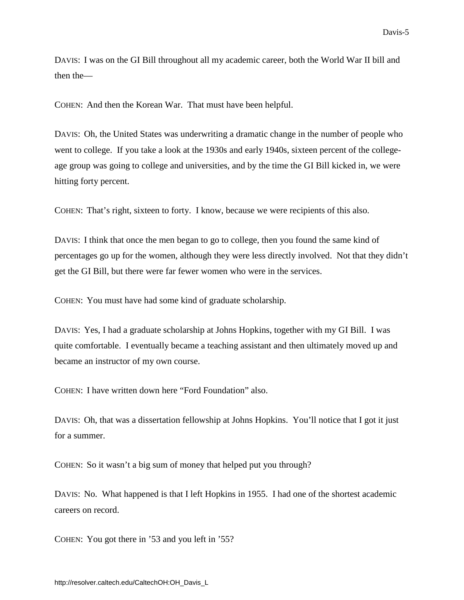DAVIS: I was on the GI Bill throughout all my academic career, both the World War II bill and then the—

COHEN: And then the Korean War. That must have been helpful.

DAVIS: Oh, the United States was underwriting a dramatic change in the number of people who went to college. If you take a look at the 1930s and early 1940s, sixteen percent of the collegeage group was going to college and universities, and by the time the GI Bill kicked in, we were hitting forty percent.

COHEN: That's right, sixteen to forty. I know, because we were recipients of this also.

DAVIS: I think that once the men began to go to college, then you found the same kind of percentages go up for the women, although they were less directly involved. Not that they didn't get the GI Bill, but there were far fewer women who were in the services.

COHEN: You must have had some kind of graduate scholarship.

DAVIS: Yes, I had a graduate scholarship at Johns Hopkins, together with my GI Bill. I was quite comfortable. I eventually became a teaching assistant and then ultimately moved up and became an instructor of my own course.

COHEN: I have written down here "Ford Foundation" also.

DAVIS: Oh, that was a dissertation fellowship at Johns Hopkins. You'll notice that I got it just for a summer.

COHEN: So it wasn't a big sum of money that helped put you through?

DAVIS: No. What happened is that I left Hopkins in 1955. I had one of the shortest academic careers on record.

COHEN: You got there in '53 and you left in '55?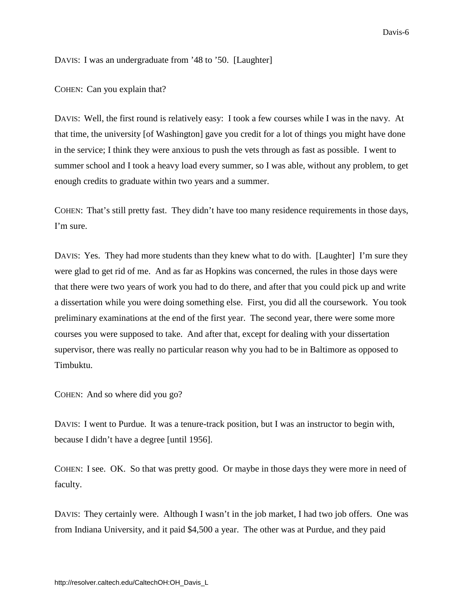<span id="page-9-0"></span>DAVIS: I was an undergraduate from '48 to '50. [Laughter]

COHEN: Can you explain that?

DAVIS: Well, the first round is relatively easy: I took a few courses while I was in the navy. At that time, the university [of Washington] gave you credit for a lot of things you might have done in the service; I think they were anxious to push the vets through as fast as possible. I went to summer school and I took a heavy load every summer, so I was able, without any problem, to get enough credits to graduate within two years and a summer.

COHEN: That's still pretty fast. They didn't have too many residence requirements in those days, I'm sure.

DAVIS: Yes. They had more students than they knew what to do with. [Laughter] I'm sure they were glad to get rid of me. And as far as Hopkins was concerned, the rules in those days were that there were two years of work you had to do there, and after that you could pick up and write a dissertation while you were doing something else. First, you did all the coursework. You took preliminary examinations at the end of the first year. The second year, there were some more courses you were supposed to take. And after that, except for dealing with your dissertation supervisor, there was really no particular reason why you had to be in Baltimore as opposed to Timbuktu.

COHEN: And so where did you go?

DAVIS: I went to Purdue. It was a tenure-track position, but I was an instructor to begin with, because I didn't have a degree [until 1956].

COHEN: I see. OK. So that was pretty good. Or maybe in those days they were more in need of faculty.

DAVIS: They certainly were. Although I wasn't in the job market, I had two job offers. One was from Indiana University, and it paid \$4,500 a year. The other was at Purdue, and they paid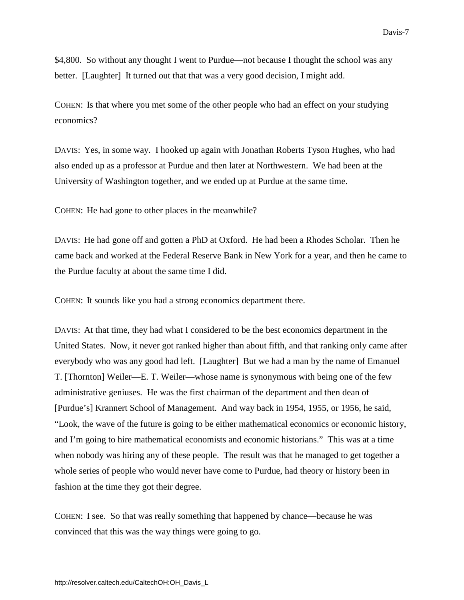\$4,800. So without any thought I went to Purdue—not because I thought the school was any better. [Laughter] It turned out that that was a very good decision, I might add.

COHEN: Is that where you met some of the other people who had an effect on your studying economics?

DAVIS: Yes, in some way. I hooked up again with Jonathan Roberts Tyson Hughes, who had also ended up as a professor at Purdue and then later at Northwestern. We had been at the University of Washington together, and we ended up at Purdue at the same time.

COHEN: He had gone to other places in the meanwhile?

DAVIS: He had gone off and gotten a PhD at Oxford. He had been a Rhodes Scholar. Then he came back and worked at the Federal Reserve Bank in New York for a year, and then he came to the Purdue faculty at about the same time I did.

COHEN: It sounds like you had a strong economics department there.

DAVIS: At that time, they had what I considered to be the best economics department in the United States. Now, it never got ranked higher than about fifth, and that ranking only came after everybody who was any good had left. [Laughter] But we had a man by the name of Emanuel T. [Thornton] Weiler—E. T. Weiler—whose name is synonymous with being one of the few administrative geniuses. He was the first chairman of the department and then dean of [Purdue's] Krannert School of Management. And way back in 1954, 1955, or 1956, he said, "Look, the wave of the future is going to be either mathematical economics or economic history, and I'm going to hire mathematical economists and economic historians." This was at a time when nobody was hiring any of these people. The result was that he managed to get together a whole series of people who would never have come to Purdue, had theory or history been in fashion at the time they got their degree.

COHEN: I see. So that was really something that happened by chance—because he was convinced that this was the way things were going to go.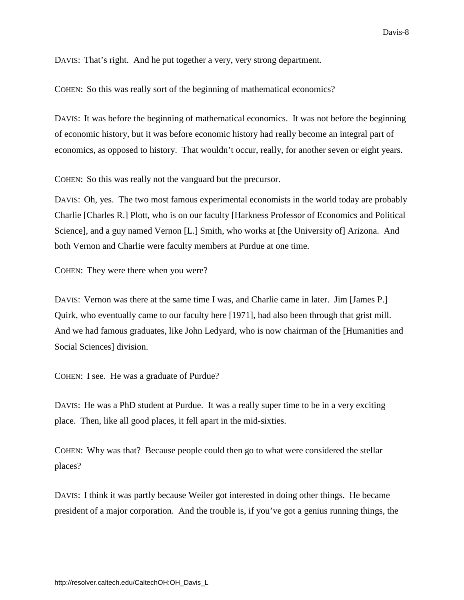DAVIS: That's right. And he put together a very, very strong department.

COHEN: So this was really sort of the beginning of mathematical economics?

DAVIS: It was before the beginning of mathematical economics. It was not before the beginning of economic history, but it was before economic history had really become an integral part of economics, as opposed to history. That wouldn't occur, really, for another seven or eight years.

COHEN: So this was really not the vanguard but the precursor.

DAVIS: Oh, yes. The two most famous experimental economists in the world today are probably Charlie [Charles R.] Plott, who is on our faculty [Harkness Professor of Economics and Political Science], and a guy named Vernon [L.] Smith, who works at [the University of] Arizona. And both Vernon and Charlie were faculty members at Purdue at one time.

COHEN: They were there when you were?

DAVIS: Vernon was there at the same time I was, and Charlie came in later. Jim [James P.] Quirk, who eventually came to our faculty here [1971], had also been through that grist mill. And we had famous graduates, like John Ledyard, who is now chairman of the [Humanities and Social Sciences] division.

COHEN: I see. He was a graduate of Purdue?

DAVIS: He was a PhD student at Purdue. It was a really super time to be in a very exciting place. Then, like all good places, it fell apart in the mid-sixties.

COHEN: Why was that? Because people could then go to what were considered the stellar places?

DAVIS: I think it was partly because Weiler got interested in doing other things. He became president of a major corporation. And the trouble is, if you've got a genius running things, the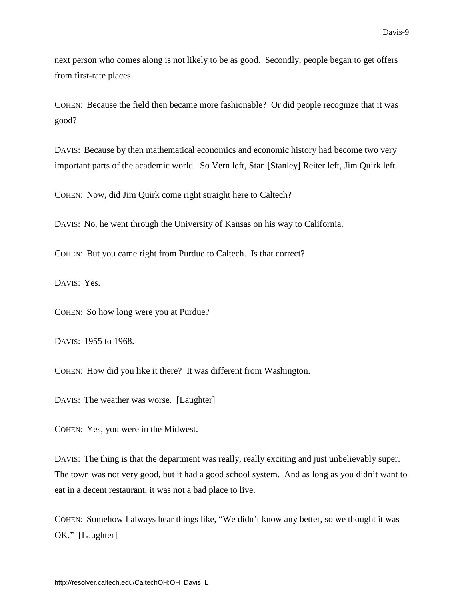next person who comes along is not likely to be as good. Secondly, people began to get offers from first-rate places.

COHEN: Because the field then became more fashionable? Or did people recognize that it was good?

DAVIS: Because by then mathematical economics and economic history had become two very important parts of the academic world. So Vern left, Stan [Stanley] Reiter left, Jim Quirk left.

COHEN: Now, did Jim Quirk come right straight here to Caltech?

DAVIS: No, he went through the University of Kansas on his way to California.

COHEN: But you came right from Purdue to Caltech. Is that correct?

DAVIS: Yes.

COHEN: So how long were you at Purdue?

DAVIS: 1955 to 1968.

COHEN: How did you like it there? It was different from Washington.

DAVIS: The weather was worse. [Laughter]

COHEN: Yes, you were in the Midwest.

DAVIS: The thing is that the department was really, really exciting and just unbelievably super. The town was not very good, but it had a good school system. And as long as you didn't want to eat in a decent restaurant, it was not a bad place to live.

COHEN: Somehow I always hear things like, "We didn't know any better, so we thought it was OK." [Laughter]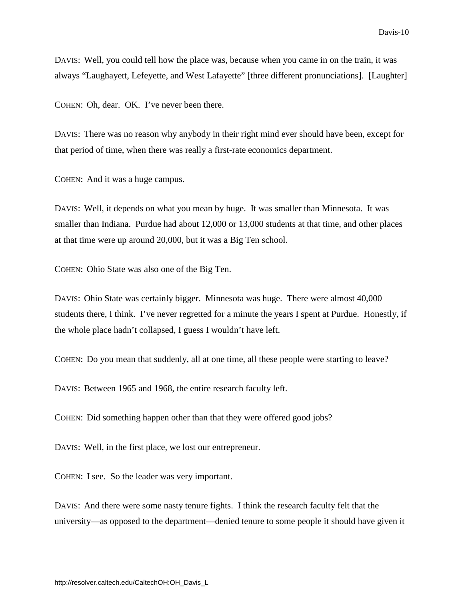DAVIS: Well, you could tell how the place was, because when you came in on the train, it was always "Laughayett, Lefeyette, and West Lafayette" [three different pronunciations]. [Laughter]

COHEN: Oh, dear. OK. I've never been there.

DAVIS: There was no reason why anybody in their right mind ever should have been, except for that period of time, when there was really a first-rate economics department.

COHEN: And it was a huge campus.

DAVIS: Well, it depends on what you mean by huge. It was smaller than Minnesota. It was smaller than Indiana. Purdue had about 12,000 or 13,000 students at that time, and other places at that time were up around 20,000, but it was a Big Ten school.

COHEN: Ohio State was also one of the Big Ten.

DAVIS: Ohio State was certainly bigger. Minnesota was huge. There were almost 40,000 students there, I think. I've never regretted for a minute the years I spent at Purdue. Honestly, if the whole place hadn't collapsed, I guess I wouldn't have left.

COHEN: Do you mean that suddenly, all at one time, all these people were starting to leave?

DAVIS: Between 1965 and 1968, the entire research faculty left.

COHEN: Did something happen other than that they were offered good jobs?

DAVIS: Well, in the first place, we lost our entrepreneur.

COHEN: I see. So the leader was very important.

DAVIS: And there were some nasty tenure fights. I think the research faculty felt that the university—as opposed to the department—denied tenure to some people it should have given it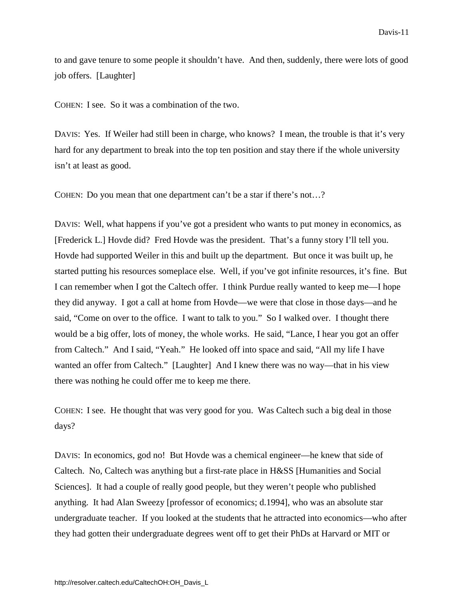<span id="page-14-0"></span>to and gave tenure to some people it shouldn't have. And then, suddenly, there were lots of good job offers. [Laughter]

COHEN: I see. So it was a combination of the two.

DAVIS: Yes. If Weiler had still been in charge, who knows? I mean, the trouble is that it's very hard for any department to break into the top ten position and stay there if the whole university isn't at least as good.

COHEN: Do you mean that one department can't be a star if there's not…?

DAVIS: Well, what happens if you've got a president who wants to put money in economics, as [Frederick L.] Hovde did? Fred Hovde was the president. That's a funny story I'll tell you. Hovde had supported Weiler in this and built up the department. But once it was built up, he started putting his resources someplace else. Well, if you've got infinite resources, it's fine. But I can remember when I got the Caltech offer. I think Purdue really wanted to keep me—I hope they did anyway. I got a call at home from Hovde—we were that close in those days—and he said, "Come on over to the office. I want to talk to you." So I walked over. I thought there would be a big offer, lots of money, the whole works. He said, "Lance, I hear you got an offer from Caltech." And I said, "Yeah." He looked off into space and said, "All my life I have wanted an offer from Caltech." [Laughter] And I knew there was no way—that in his view there was nothing he could offer me to keep me there.

COHEN: I see. He thought that was very good for you. Was Caltech such a big deal in those days?

DAVIS: In economics, god no! But Hovde was a chemical engineer—he knew that side of Caltech. No, Caltech was anything but a first-rate place in H&SS [Humanities and Social Sciences]. It had a couple of really good people, but they weren't people who published anything. It had Alan Sweezy [professor of economics; d.1994], who was an absolute star undergraduate teacher. If you looked at the students that he attracted into economics—who after they had gotten their undergraduate degrees went off to get their PhDs at Harvard or MIT or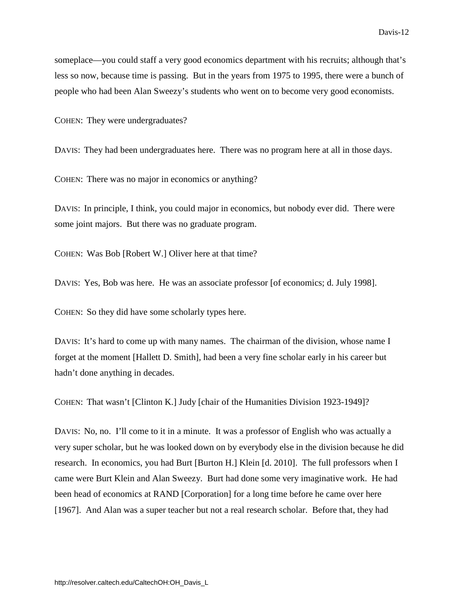someplace—you could staff a very good economics department with his recruits; although that's less so now, because time is passing. But in the years from 1975 to 1995, there were a bunch of people who had been Alan Sweezy's students who went on to become very good economists.

COHEN: They were undergraduates?

DAVIS: They had been undergraduates here. There was no program here at all in those days.

COHEN: There was no major in economics or anything?

DAVIS: In principle, I think, you could major in economics, but nobody ever did. There were some joint majors. But there was no graduate program.

COHEN: Was Bob [Robert W.] Oliver here at that time?

DAVIS: Yes, Bob was here. He was an associate professor [of economics; d. July 1998].

COHEN: So they did have some scholarly types here.

DAVIS: It's hard to come up with many names. The chairman of the division, whose name I forget at the moment [Hallett D. Smith], had been a very fine scholar early in his career but hadn't done anything in decades.

COHEN: That wasn't [Clinton K.] Judy [chair of the Humanities Division 1923-1949]?

DAVIS: No, no. I'll come to it in a minute. It was a professor of English who was actually a very super scholar, but he was looked down on by everybody else in the division because he did research. In economics, you had Burt [Burton H.] Klein [d. 2010]. The full professors when I came were Burt Klein and Alan Sweezy. Burt had done some very imaginative work. He had been head of economics at RAND [Corporation] for a long time before he came over here [1967]. And Alan was a super teacher but not a real research scholar. Before that, they had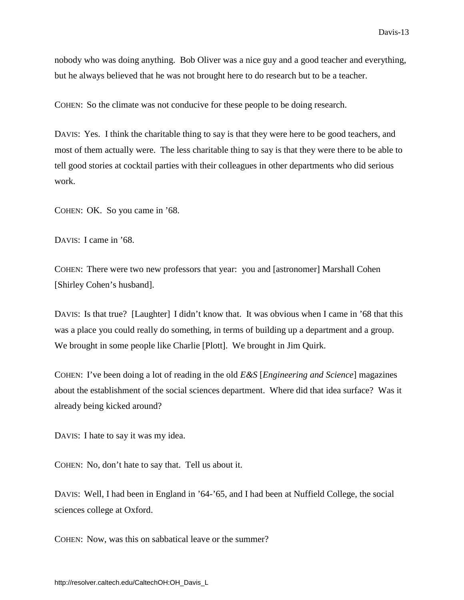nobody who was doing anything. Bob Oliver was a nice guy and a good teacher and everything, but he always believed that he was not brought here to do research but to be a teacher.

COHEN: So the climate was not conducive for these people to be doing research.

DAVIS: Yes. I think the charitable thing to say is that they were here to be good teachers, and most of them actually were. The less charitable thing to say is that they were there to be able to tell good stories at cocktail parties with their colleagues in other departments who did serious work.

COHEN: OK. So you came in '68.

DAVIS: I came in '68.

COHEN: There were two new professors that year: you and [astronomer] Marshall Cohen [Shirley Cohen's husband].

DAVIS: Is that true? [Laughter] I didn't know that. It was obvious when I came in '68 that this was a place you could really do something, in terms of building up a department and a group. We brought in some people like Charlie [Plott]. We brought in Jim Quirk.

COHEN: I've been doing a lot of reading in the old *E&S* [*Engineering and Science*] magazines about the establishment of the social sciences department. Where did that idea surface? Was it already being kicked around?

DAVIS: I hate to say it was my idea.

COHEN: No, don't hate to say that. Tell us about it.

DAVIS: Well, I had been in England in '64-'65, and I had been at Nuffield College, the social sciences college at Oxford.

COHEN: Now, was this on sabbatical leave or the summer?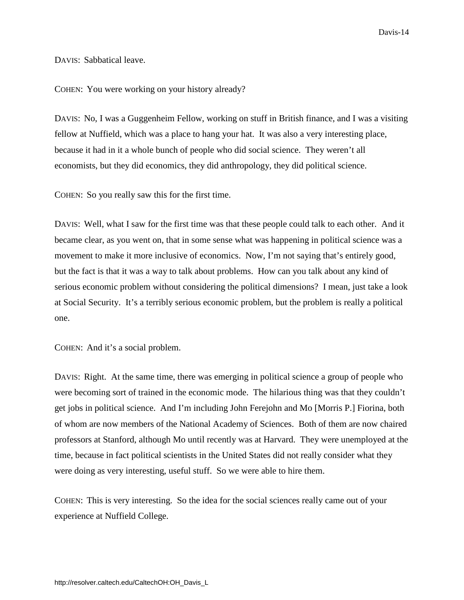DAVIS: Sabbatical leave.

COHEN: You were working on your history already?

DAVIS: No, I was a Guggenheim Fellow, working on stuff in British finance, and I was a visiting fellow at Nuffield, which was a place to hang your hat. It was also a very interesting place, because it had in it a whole bunch of people who did social science. They weren't all economists, but they did economics, they did anthropology, they did political science.

COHEN: So you really saw this for the first time.

DAVIS: Well, what I saw for the first time was that these people could talk to each other. And it became clear, as you went on, that in some sense what was happening in political science was a movement to make it more inclusive of economics. Now, I'm not saying that's entirely good, but the fact is that it was a way to talk about problems. How can you talk about any kind of serious economic problem without considering the political dimensions? I mean, just take a look at Social Security. It's a terribly serious economic problem, but the problem is really a political one.

COHEN: And it's a social problem.

DAVIS: Right. At the same time, there was emerging in political science a group of people who were becoming sort of trained in the economic mode. The hilarious thing was that they couldn't get jobs in political science. And I'm including John Ferejohn and Mo [Morris P.] Fiorina, both of whom are now members of the National Academy of Sciences. Both of them are now chaired professors at Stanford, although Mo until recently was at Harvard. They were unemployed at the time, because in fact political scientists in the United States did not really consider what they were doing as very interesting, useful stuff. So we were able to hire them.

COHEN: This is very interesting. So the idea for the social sciences really came out of your experience at Nuffield College.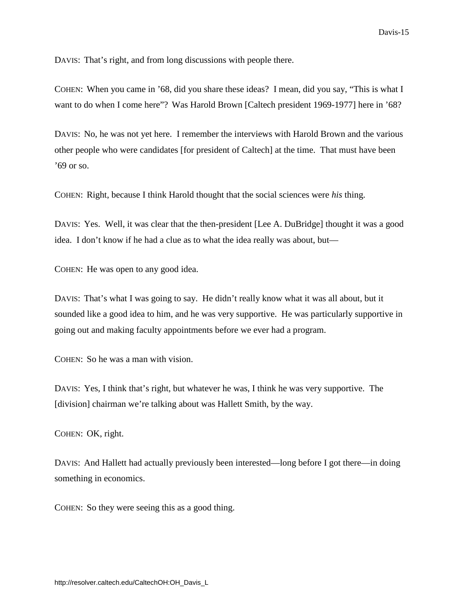DAVIS: That's right, and from long discussions with people there.

COHEN: When you came in '68, did you share these ideas? I mean, did you say, "This is what I want to do when I come here"? Was Harold Brown [Caltech president 1969-1977] here in '68?

DAVIS: No, he was not yet here. I remember the interviews with Harold Brown and the various other people who were candidates [for president of Caltech] at the time. That must have been '69 or so.

COHEN: Right, because I think Harold thought that the social sciences were *his* thing.

DAVIS: Yes. Well, it was clear that the then-president [Lee A. DuBridge] thought it was a good idea. I don't know if he had a clue as to what the idea really was about, but—

COHEN: He was open to any good idea.

DAVIS: That's what I was going to say. He didn't really know what it was all about, but it sounded like a good idea to him, and he was very supportive. He was particularly supportive in going out and making faculty appointments before we ever had a program.

COHEN: So he was a man with vision.

DAVIS: Yes, I think that's right, but whatever he was, I think he was very supportive. The [division] chairman we're talking about was Hallett Smith, by the way.

COHEN: OK, right.

DAVIS: And Hallett had actually previously been interested—long before I got there—in doing something in economics.

COHEN: So they were seeing this as a good thing.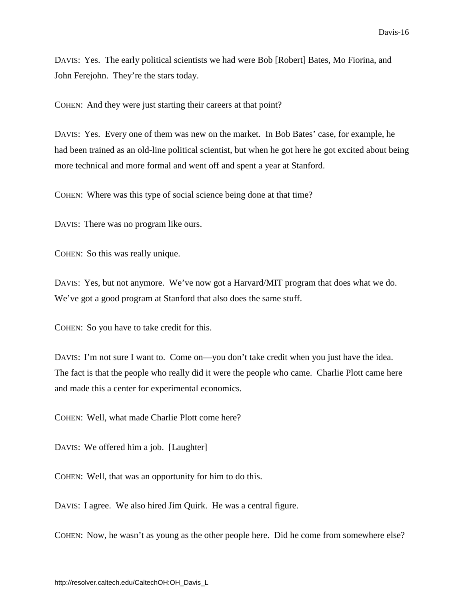DAVIS: Yes. The early political scientists we had were Bob [Robert] Bates, Mo Fiorina, and John Ferejohn. They're the stars today.

COHEN: And they were just starting their careers at that point?

DAVIS: Yes. Every one of them was new on the market. In Bob Bates' case, for example, he had been trained as an old-line political scientist, but when he got here he got excited about being more technical and more formal and went off and spent a year at Stanford.

COHEN: Where was this type of social science being done at that time?

DAVIS: There was no program like ours.

COHEN: So this was really unique.

DAVIS: Yes, but not anymore. We've now got a Harvard/MIT program that does what we do. We've got a good program at Stanford that also does the same stuff.

COHEN: So you have to take credit for this.

DAVIS: I'm not sure I want to. Come on—you don't take credit when you just have the idea. The fact is that the people who really did it were the people who came. Charlie Plott came here and made this a center for experimental economics.

COHEN: Well, what made Charlie Plott come here?

DAVIS: We offered him a job. [Laughter]

COHEN: Well, that was an opportunity for him to do this.

DAVIS: I agree. We also hired Jim Quirk. He was a central figure.

COHEN: Now, he wasn't as young as the other people here. Did he come from somewhere else?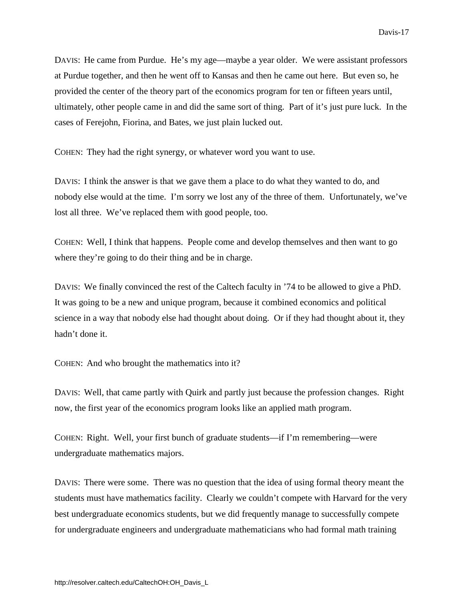DAVIS: He came from Purdue. He's my age—maybe a year older. We were assistant professors at Purdue together, and then he went off to Kansas and then he came out here. But even so, he provided the center of the theory part of the economics program for ten or fifteen years until, ultimately, other people came in and did the same sort of thing. Part of it's just pure luck. In the cases of Ferejohn, Fiorina, and Bates, we just plain lucked out.

COHEN: They had the right synergy, or whatever word you want to use.

DAVIS: I think the answer is that we gave them a place to do what they wanted to do, and nobody else would at the time. I'm sorry we lost any of the three of them. Unfortunately, we've lost all three. We've replaced them with good people, too.

COHEN: Well, I think that happens. People come and develop themselves and then want to go where they're going to do their thing and be in charge.

DAVIS: We finally convinced the rest of the Caltech faculty in '74 to be allowed to give a PhD. It was going to be a new and unique program, because it combined economics and political science in a way that nobody else had thought about doing. Or if they had thought about it, they hadn't done it.

COHEN: And who brought the mathematics into it?

DAVIS: Well, that came partly with Quirk and partly just because the profession changes. Right now, the first year of the economics program looks like an applied math program.

COHEN: Right. Well, your first bunch of graduate students—if I'm remembering—were undergraduate mathematics majors.

DAVIS: There were some. There was no question that the idea of using formal theory meant the students must have mathematics facility. Clearly we couldn't compete with Harvard for the very best undergraduate economics students, but we did frequently manage to successfully compete for undergraduate engineers and undergraduate mathematicians who had formal math training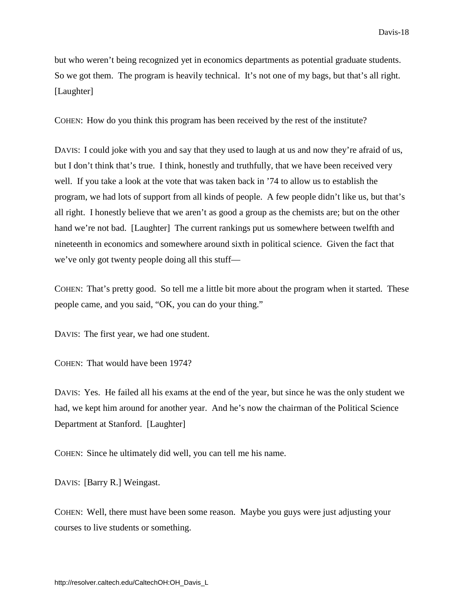but who weren't being recognized yet in economics departments as potential graduate students. So we got them. The program is heavily technical. It's not one of my bags, but that's all right. [Laughter]

COHEN: How do you think this program has been received by the rest of the institute?

DAVIS: I could joke with you and say that they used to laugh at us and now they're afraid of us, but I don't think that's true. I think, honestly and truthfully, that we have been received very well. If you take a look at the vote that was taken back in '74 to allow us to establish the program, we had lots of support from all kinds of people. A few people didn't like us, but that's all right. I honestly believe that we aren't as good a group as the chemists are; but on the other hand we're not bad. [Laughter] The current rankings put us somewhere between twelfth and nineteenth in economics and somewhere around sixth in political science. Given the fact that we've only got twenty people doing all this stuff—

COHEN: That's pretty good. So tell me a little bit more about the program when it started. These people came, and you said, "OK, you can do your thing."

DAVIS: The first year, we had one student.

COHEN: That would have been 1974?

DAVIS: Yes. He failed all his exams at the end of the year, but since he was the only student we had, we kept him around for another year. And he's now the chairman of the Political Science Department at Stanford. [Laughter]

COHEN: Since he ultimately did well, you can tell me his name.

DAVIS: [Barry R.] Weingast.

COHEN: Well, there must have been some reason. Maybe you guys were just adjusting your courses to live students or something.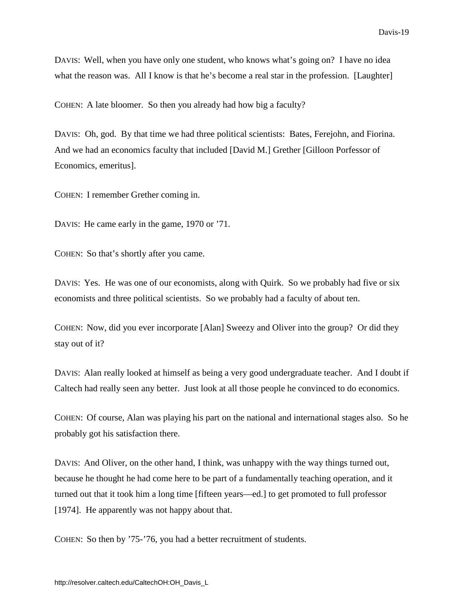<span id="page-22-0"></span>DAVIS: Well, when you have only one student, who knows what's going on? I have no idea what the reason was. All I know is that he's become a real star in the profession. [Laughter]

COHEN: A late bloomer. So then you already had how big a faculty?

DAVIS: Oh, god. By that time we had three political scientists: Bates, Ferejohn, and Fiorina. And we had an economics faculty that included [David M.] Grether [Gilloon Porfessor of Economics, emeritus].

COHEN: I remember Grether coming in.

DAVIS: He came early in the game, 1970 or '71.

COHEN: So that's shortly after you came.

DAVIS: Yes. He was one of our economists, along with Quirk. So we probably had five or six economists and three political scientists. So we probably had a faculty of about ten.

COHEN: Now, did you ever incorporate [Alan] Sweezy and Oliver into the group? Or did they stay out of it?

DAVIS: Alan really looked at himself as being a very good undergraduate teacher. And I doubt if Caltech had really seen any better. Just look at all those people he convinced to do economics.

COHEN: Of course, Alan was playing his part on the national and international stages also. So he probably got his satisfaction there.

DAVIS: And Oliver, on the other hand, I think, was unhappy with the way things turned out, because he thought he had come here to be part of a fundamentally teaching operation, and it turned out that it took him a long time [fifteen years—ed.] to get promoted to full professor [1974]. He apparently was not happy about that.

COHEN: So then by '75-'76, you had a better recruitment of students.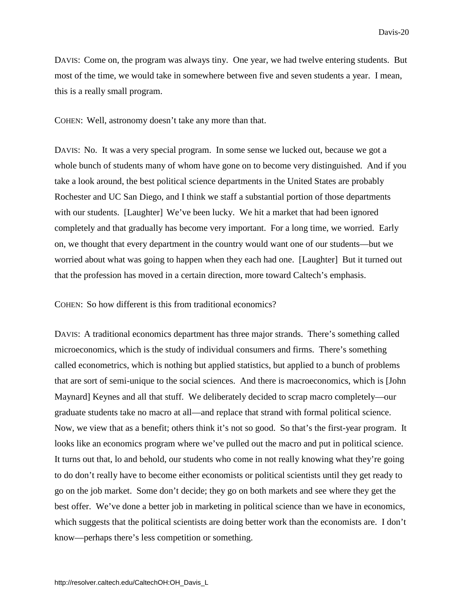DAVIS: Come on, the program was always tiny. One year, we had twelve entering students. But most of the time, we would take in somewhere between five and seven students a year. I mean, this is a really small program.

COHEN: Well, astronomy doesn't take any more than that.

DAVIS: No. It was a very special program. In some sense we lucked out, because we got a whole bunch of students many of whom have gone on to become very distinguished. And if you take a look around, the best political science departments in the United States are probably Rochester and UC San Diego, and I think we staff a substantial portion of those departments with our students. [Laughter] We've been lucky. We hit a market that had been ignored completely and that gradually has become very important. For a long time, we worried. Early on, we thought that every department in the country would want one of our students—but we worried about what was going to happen when they each had one. [Laughter] But it turned out that the profession has moved in a certain direction, more toward Caltech's emphasis.

COHEN: So how different is this from traditional economics?

DAVIS: A traditional economics department has three major strands. There's something called microeconomics, which is the study of individual consumers and firms. There's something called econometrics, which is nothing but applied statistics, but applied to a bunch of problems that are sort of semi-unique to the social sciences. And there is macroeconomics, which is [John Maynard] Keynes and all that stuff. We deliberately decided to scrap macro completely—our graduate students take no macro at all—and replace that strand with formal political science. Now, we view that as a benefit; others think it's not so good. So that's the first-year program. It looks like an economics program where we've pulled out the macro and put in political science. It turns out that, lo and behold, our students who come in not really knowing what they're going to do don't really have to become either economists or political scientists until they get ready to go on the job market. Some don't decide; they go on both markets and see where they get the best offer. We've done a better job in marketing in political science than we have in economics, which suggests that the political scientists are doing better work than the economists are. I don't know—perhaps there's less competition or something.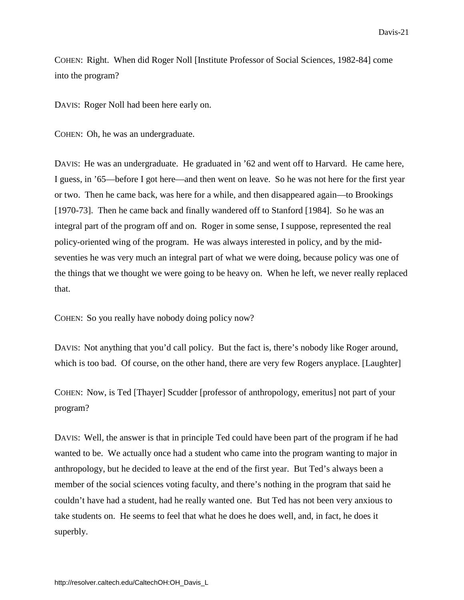COHEN: Right. When did Roger Noll [Institute Professor of Social Sciences, 1982-84] come into the program?

DAVIS: Roger Noll had been here early on.

COHEN: Oh, he was an undergraduate.

DAVIS: He was an undergraduate. He graduated in '62 and went off to Harvard. He came here, I guess, in '65—before I got here—and then went on leave. So he was not here for the first year or two. Then he came back, was here for a while, and then disappeared again—to Brookings [1970-73]. Then he came back and finally wandered off to Stanford [1984]. So he was an integral part of the program off and on. Roger in some sense, I suppose, represented the real policy-oriented wing of the program. He was always interested in policy, and by the midseventies he was very much an integral part of what we were doing, because policy was one of the things that we thought we were going to be heavy on. When he left, we never really replaced that.

COHEN: So you really have nobody doing policy now?

DAVIS: Not anything that you'd call policy. But the fact is, there's nobody like Roger around, which is too bad. Of course, on the other hand, there are very few Rogers anyplace. [Laughter]

COHEN: Now, is Ted [Thayer] Scudder [professor of anthropology, emeritus] not part of your program?

DAVIS: Well, the answer is that in principle Ted could have been part of the program if he had wanted to be. We actually once had a student who came into the program wanting to major in anthropology, but he decided to leave at the end of the first year. But Ted's always been a member of the social sciences voting faculty, and there's nothing in the program that said he couldn't have had a student, had he really wanted one. But Ted has not been very anxious to take students on. He seems to feel that what he does he does well, and, in fact, he does it superbly.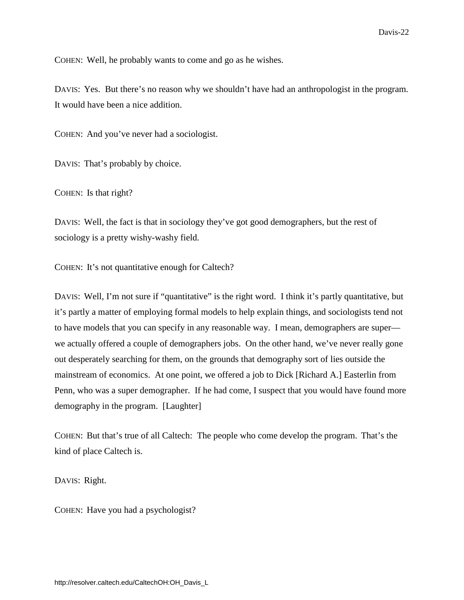COHEN: Well, he probably wants to come and go as he wishes.

DAVIS: Yes. But there's no reason why we shouldn't have had an anthropologist in the program. It would have been a nice addition.

COHEN: And you've never had a sociologist.

DAVIS: That's probably by choice.

COHEN: Is that right?

DAVIS: Well, the fact is that in sociology they've got good demographers, but the rest of sociology is a pretty wishy-washy field.

COHEN: It's not quantitative enough for Caltech?

DAVIS: Well, I'm not sure if "quantitative" is the right word. I think it's partly quantitative, but it's partly a matter of employing formal models to help explain things, and sociologists tend not to have models that you can specify in any reasonable way. I mean, demographers are super we actually offered a couple of demographers jobs. On the other hand, we've never really gone out desperately searching for them, on the grounds that demography sort of lies outside the mainstream of economics. At one point, we offered a job to Dick [Richard A.] Easterlin from Penn, who was a super demographer. If he had come, I suspect that you would have found more demography in the program. [Laughter]

COHEN: But that's true of all Caltech: The people who come develop the program. That's the kind of place Caltech is.

DAVIS: Right.

COHEN: Have you had a psychologist?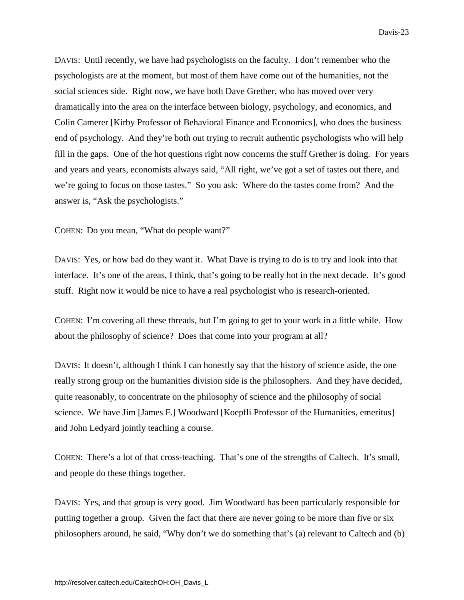DAVIS: Until recently, we have had psychologists on the faculty. I don't remember who the psychologists are at the moment, but most of them have come out of the humanities, not the social sciences side. Right now, we have both Dave Grether, who has moved over very dramatically into the area on the interface between biology, psychology, and economics, and Colin Camerer [Kirby Professor of Behavioral Finance and Economics], who does the business end of psychology. And they're both out trying to recruit authentic psychologists who will help fill in the gaps. One of the hot questions right now concerns the stuff Grether is doing. For years and years and years, economists always said, "All right, we've got a set of tastes out there, and we're going to focus on those tastes." So you ask: Where do the tastes come from? And the answer is, "Ask the psychologists."

COHEN: Do you mean, "What do people want?"

DAVIS: Yes, or how bad do they want it. What Dave is trying to do is to try and look into that interface. It's one of the areas, I think, that's going to be really hot in the next decade. It's good stuff. Right now it would be nice to have a real psychologist who is research-oriented.

COHEN: I'm covering all these threads, but I'm going to get to your work in a little while. How about the philosophy of science? Does that come into your program at all?

DAVIS: It doesn't, although I think I can honestly say that the history of science aside, the one really strong group on the humanities division side is the philosophers. And they have decided, quite reasonably, to concentrate on the philosophy of science and the philosophy of social science. We have Jim [James F.] Woodward [Koepfli Professor of the Humanities, emeritus] and John Ledyard jointly teaching a course.

COHEN: There's a lot of that cross-teaching. That's one of the strengths of Caltech. It's small, and people do these things together.

DAVIS: Yes, and that group is very good. Jim Woodward has been particularly responsible for putting together a group. Given the fact that there are never going to be more than five or six philosophers around, he said, "Why don't we do something that's (a) relevant to Caltech and (b)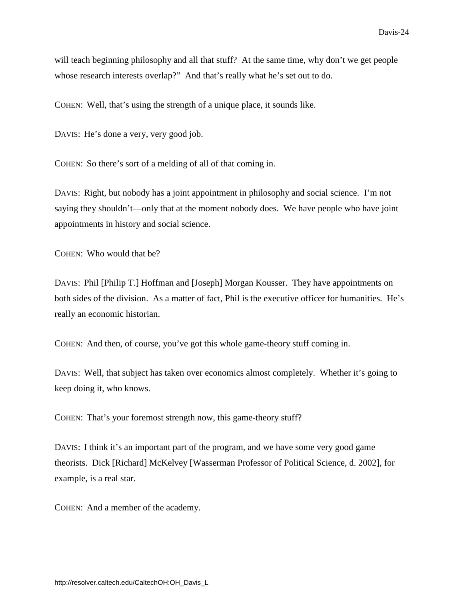will teach beginning philosophy and all that stuff? At the same time, why don't we get people whose research interests overlap?" And that's really what he's set out to do.

COHEN: Well, that's using the strength of a unique place, it sounds like.

DAVIS: He's done a very, very good job.

COHEN: So there's sort of a melding of all of that coming in.

DAVIS: Right, but nobody has a joint appointment in philosophy and social science. I'm not saying they shouldn't—only that at the moment nobody does. We have people who have joint appointments in history and social science.

COHEN: Who would that be?

DAVIS: Phil [Philip T.] Hoffman and [Joseph] Morgan Kousser. They have appointments on both sides of the division. As a matter of fact, Phil is the executive officer for humanities. He's really an economic historian.

COHEN: And then, of course, you've got this whole game-theory stuff coming in.

DAVIS: Well, that subject has taken over economics almost completely. Whether it's going to keep doing it, who knows.

COHEN: That's your foremost strength now, this game-theory stuff?

DAVIS: I think it's an important part of the program, and we have some very good game theorists. Dick [Richard] McKelvey [Wasserman Professor of Political Science, d. 2002], for example, is a real star.

COHEN: And a member of the academy.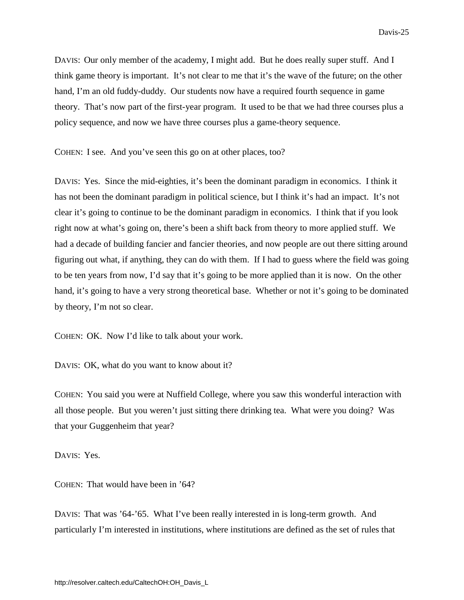<span id="page-28-0"></span>DAVIS: Our only member of the academy, I might add. But he does really super stuff. And I think game theory is important. It's not clear to me that it's the wave of the future; on the other hand, I'm an old fuddy-duddy. Our students now have a required fourth sequence in game theory. That's now part of the first-year program. It used to be that we had three courses plus a policy sequence, and now we have three courses plus a game-theory sequence.

COHEN: I see. And you've seen this go on at other places, too?

DAVIS: Yes. Since the mid-eighties, it's been the dominant paradigm in economics. I think it has not been the dominant paradigm in political science, but I think it's had an impact. It's not clear it's going to continue to be the dominant paradigm in economics. I think that if you look right now at what's going on, there's been a shift back from theory to more applied stuff. We had a decade of building fancier and fancier theories, and now people are out there sitting around figuring out what, if anything, they can do with them. If I had to guess where the field was going to be ten years from now, I'd say that it's going to be more applied than it is now. On the other hand, it's going to have a very strong theoretical base. Whether or not it's going to be dominated by theory, I'm not so clear.

COHEN: OK. Now I'd like to talk about your work.

DAVIS: OK, what do you want to know about it?

COHEN: You said you were at Nuffield College, where you saw this wonderful interaction with all those people. But you weren't just sitting there drinking tea. What were you doing? Was that your Guggenheim that year?

DAVIS: Yes.

COHEN: That would have been in '64?

DAVIS: That was '64-'65. What I've been really interested in is long-term growth. And particularly I'm interested in institutions, where institutions are defined as the set of rules that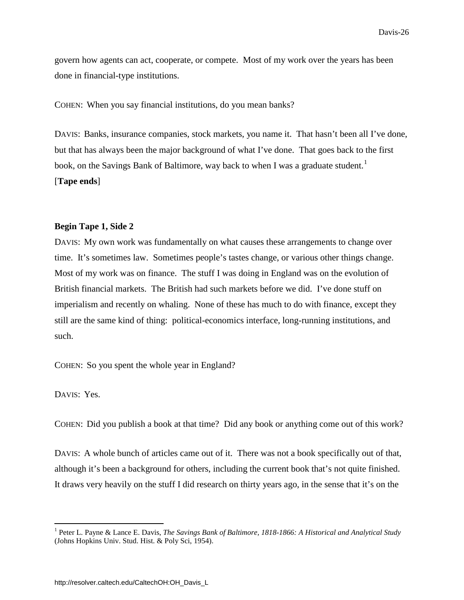govern how agents can act, cooperate, or compete. Most of my work over the years has been done in financial-type institutions.

COHEN: When you say financial institutions, do you mean banks?

DAVIS: Banks, insurance companies, stock markets, you name it. That hasn't been all I've done, but that has always been the major background of what I've done. That goes back to the first book, on the Savings Bank of Baltimore, way back to when I was a graduate student.<sup>[1](#page-29-0)</sup> [**Tape ends**]

### **Begin Tape 1, Side 2**

DAVIS: My own work was fundamentally on what causes these arrangements to change over time. It's sometimes law. Sometimes people's tastes change, or various other things change. Most of my work was on finance. The stuff I was doing in England was on the evolution of British financial markets. The British had such markets before we did. I've done stuff on imperialism and recently on whaling. None of these has much to do with finance, except they still are the same kind of thing: political-economics interface, long-running institutions, and such.

COHEN: So you spent the whole year in England?

DAVIS: Yes.

COHEN: Did you publish a book at that time? Did any book or anything come out of this work?

DAVIS: A whole bunch of articles came out of it. There was not a book specifically out of that, although it's been a background for others, including the current book that's not quite finished. It draws very heavily on the stuff I did research on thirty years ago, in the sense that it's on the

<span id="page-29-0"></span> <sup>1</sup> Peter L. Payne & Lance E. Davis, *The Savings Bank of Baltimore, 1818-1866: A Historical and Analytical Study* (Johns Hopkins Univ. Stud. Hist. & Poly Sci, 1954).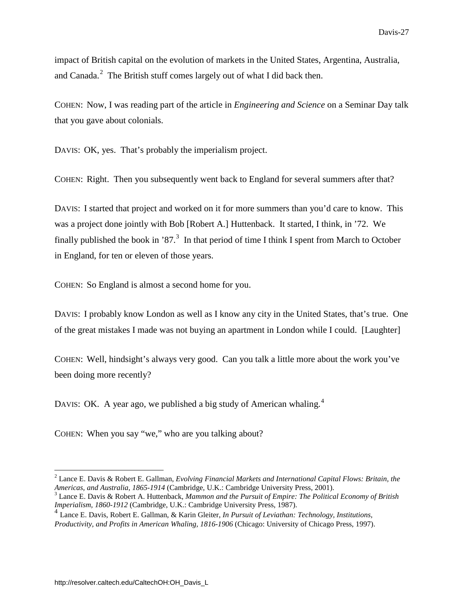impact of British capital on the evolution of markets in the United States, Argentina, Australia, and Canada.<sup>[2](#page-30-0)</sup> The British stuff comes largely out of what I did back then.

COHEN: Now, I was reading part of the article in *Engineering and Science* on a Seminar Day talk that you gave about colonials.

DAVIS: OK, yes. That's probably the imperialism project.

COHEN: Right. Then you subsequently went back to England for several summers after that?

DAVIS: I started that project and worked on it for more summers than you'd care to know. This was a project done jointly with Bob [Robert A.] Huttenback. It started, I think, in '72. We finally published the book in '87.<sup>[3](#page-30-1)</sup> In that period of time I think I spent from March to October in England, for ten or eleven of those years.

COHEN: So England is almost a second home for you.

DAVIS: I probably know London as well as I know any city in the United States, that's true. One of the great mistakes I made was not buying an apartment in London while I could. [Laughter]

COHEN: Well, hindsight's always very good. Can you talk a little more about the work you've been doing more recently?

DAVIS: OK. A year ago, we published a big study of American whaling.<sup>[4](#page-30-2)</sup>

COHEN: When you say "we," who are you talking about?

<span id="page-30-0"></span><sup>&</sup>lt;sup>2</sup> Lance E. Davis & Robert E. Gallman, *Evolving Financial Markets and International Capital Flows: Britain, the Americas, and Australia, 1865-1914 (Cambridge, U.K.: Cambridge University Press, 2001).* 

<span id="page-30-1"></span><sup>&</sup>lt;sup>3</sup> Lance E. Davis & Robert A. Huttenback, *Mammon and the Pursuit of Empire: The Political Economy of British Imperialism, 1860-1912* (Cambridge, U.K.: Cambridge University Press, 1987).

<span id="page-30-2"></span><sup>4</sup> Lance E. Davis, Robert E. Gallman, & Karin Gleiter, *In Pursuit of Leviathan: Technology, Institutions, Productivity, and Profits in American Whaling, 1816-1906* (Chicago: University of Chicago Press, 1997).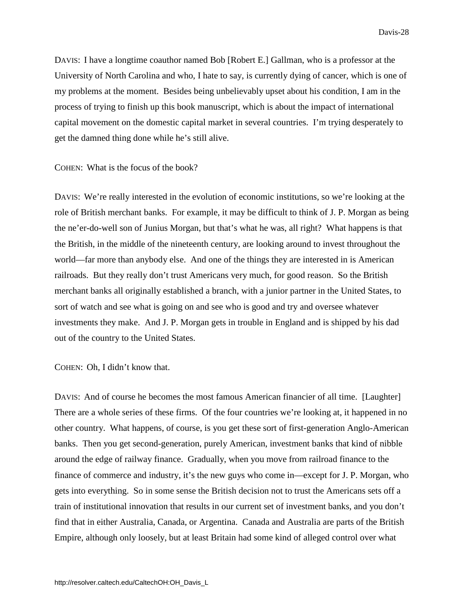DAVIS: I have a longtime coauthor named Bob [Robert E.] Gallman, who is a professor at the University of North Carolina and who, I hate to say, is currently dying of cancer, which is one of my problems at the moment. Besides being unbelievably upset about his condition, I am in the process of trying to finish up this book manuscript, which is about the impact of international capital movement on the domestic capital market in several countries. I'm trying desperately to get the damned thing done while he's still alive.

COHEN: What is the focus of the book?

DAVIS: We're really interested in the evolution of economic institutions, so we're looking at the role of British merchant banks. For example, it may be difficult to think of J. P. Morgan as being the ne'er-do-well son of Junius Morgan, but that's what he was, all right? What happens is that the British, in the middle of the nineteenth century, are looking around to invest throughout the world—far more than anybody else. And one of the things they are interested in is American railroads. But they really don't trust Americans very much, for good reason. So the British merchant banks all originally established a branch, with a junior partner in the United States, to sort of watch and see what is going on and see who is good and try and oversee whatever investments they make. And J. P. Morgan gets in trouble in England and is shipped by his dad out of the country to the United States.

COHEN: Oh, I didn't know that.

DAVIS: And of course he becomes the most famous American financier of all time. [Laughter] There are a whole series of these firms. Of the four countries we're looking at, it happened in no other country. What happens, of course, is you get these sort of first-generation Anglo-American banks. Then you get second-generation, purely American, investment banks that kind of nibble around the edge of railway finance. Gradually, when you move from railroad finance to the finance of commerce and industry, it's the new guys who come in—except for J. P. Morgan, who gets into everything. So in some sense the British decision not to trust the Americans sets off a train of institutional innovation that results in our current set of investment banks, and you don't find that in either Australia, Canada, or Argentina. Canada and Australia are parts of the British Empire, although only loosely, but at least Britain had some kind of alleged control over what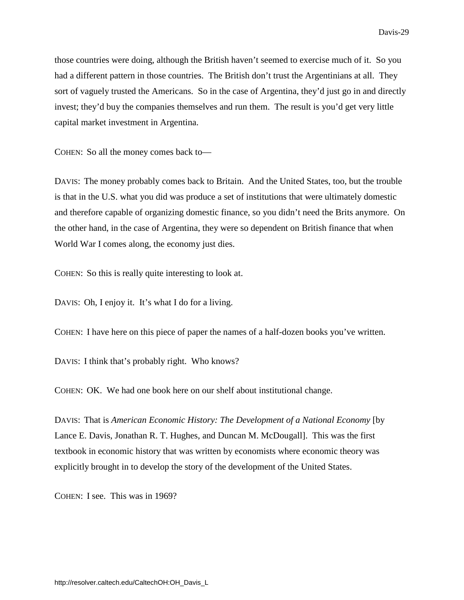those countries were doing, although the British haven't seemed to exercise much of it. So you had a different pattern in those countries. The British don't trust the Argentinians at all. They sort of vaguely trusted the Americans. So in the case of Argentina, they'd just go in and directly invest; they'd buy the companies themselves and run them. The result is you'd get very little capital market investment in Argentina.

COHEN: So all the money comes back to—

DAVIS: The money probably comes back to Britain. And the United States, too, but the trouble is that in the U.S. what you did was produce a set of institutions that were ultimately domestic and therefore capable of organizing domestic finance, so you didn't need the Brits anymore. On the other hand, in the case of Argentina, they were so dependent on British finance that when World War I comes along, the economy just dies.

COHEN: So this is really quite interesting to look at.

DAVIS: Oh, I enjoy it. It's what I do for a living.

COHEN: I have here on this piece of paper the names of a half-dozen books you've written.

DAVIS: I think that's probably right. Who knows?

COHEN: OK. We had one book here on our shelf about institutional change.

DAVIS: That is *American Economic History: The Development of a National Economy* [by Lance E. Davis, Jonathan R. T. Hughes, and Duncan M. McDougall]. This was the first textbook in economic history that was written by economists where economic theory was explicitly brought in to develop the story of the development of the United States.

COHEN: I see. This was in 1969?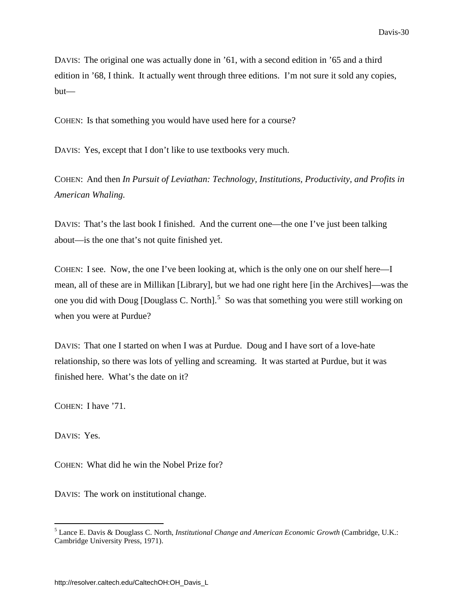DAVIS: The original one was actually done in '61, with a second edition in '65 and a third edition in '68, I think. It actually went through three editions. I'm not sure it sold any copies, but—

COHEN: Is that something you would have used here for a course?

DAVIS: Yes, except that I don't like to use textbooks very much.

COHEN: And then *In Pursuit of Leviathan: Technology, Institutions, Productivity, and Profits in American Whaling.*

DAVIS: That's the last book I finished. And the current one—the one I've just been talking about—is the one that's not quite finished yet.

COHEN: I see. Now, the one I've been looking at, which is the only one on our shelf here—I mean, all of these are in Millikan [Library], but we had one right here [in the Archives]—was the one you did with Doug [Douglass C. North].<sup>[5](#page-33-0)</sup> So was that something you were still working on when you were at Purdue?

DAVIS: That one I started on when I was at Purdue. Doug and I have sort of a love-hate relationship, so there was lots of yelling and screaming. It was started at Purdue, but it was finished here. What's the date on it?

COHEN: I have '71.

DAVIS: Yes.

COHEN: What did he win the Nobel Prize for?

DAVIS: The work on institutional change.

<span id="page-33-0"></span> <sup>5</sup> Lance E. Davis & Douglass C. North, *Institutional Change and American Economic Growth* (Cambridge, U.K.: Cambridge University Press, 1971).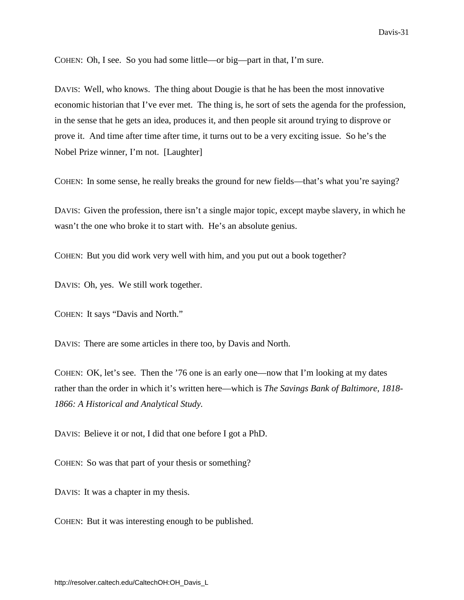COHEN: Oh, I see. So you had some little—or big—part in that, I'm sure.

DAVIS: Well, who knows. The thing about Dougie is that he has been the most innovative economic historian that I've ever met. The thing is, he sort of sets the agenda for the profession, in the sense that he gets an idea, produces it, and then people sit around trying to disprove or prove it. And time after time after time, it turns out to be a very exciting issue. So he's the Nobel Prize winner, I'm not. [Laughter]

COHEN: In some sense, he really breaks the ground for new fields—that's what you're saying?

DAVIS: Given the profession, there isn't a single major topic, except maybe slavery, in which he wasn't the one who broke it to start with. He's an absolute genius.

COHEN: But you did work very well with him, and you put out a book together?

DAVIS: Oh, yes. We still work together.

COHEN: It says "Davis and North."

DAVIS: There are some articles in there too, by Davis and North.

COHEN: OK, let's see. Then the '76 one is an early one—now that I'm looking at my dates rather than the order in which it's written here—which is *The Savings Bank of Baltimore, 1818- 1866: A Historical and Analytical Study.*

DAVIS: Believe it or not, I did that one before I got a PhD.

COHEN: So was that part of your thesis or something?

DAVIS: It was a chapter in my thesis.

COHEN: But it was interesting enough to be published.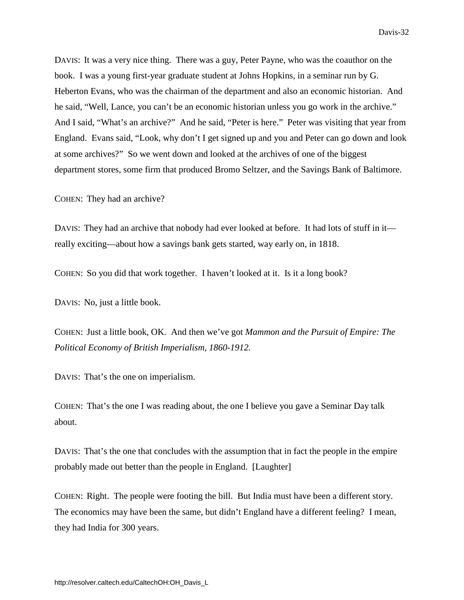DAVIS: It was a very nice thing. There was a guy, Peter Payne, who was the coauthor on the book. I was a young first-year graduate student at Johns Hopkins, in a seminar run by G. Heberton Evans, who was the chairman of the department and also an economic historian. And he said, "Well, Lance, you can't be an economic historian unless you go work in the archive." And I said, "What's an archive?" And he said, "Peter is here." Peter was visiting that year from England. Evans said, "Look, why don't I get signed up and you and Peter can go down and look at some archives?" So we went down and looked at the archives of one of the biggest department stores, some firm that produced Bromo Seltzer, and the Savings Bank of Baltimore.

COHEN: They had an archive?

DAVIS: They had an archive that nobody had ever looked at before. It had lots of stuff in it really exciting—about how a savings bank gets started, way early on, in 1818.

COHEN: So you did that work together. I haven't looked at it. Is it a long book?

DAVIS: No, just a little book.

COHEN: Just a little book, OK. And then we've got *Mammon and the Pursuit of Empire: The Political Economy of British Imperialism, 1860-1912.*

DAVIS: That's the one on imperialism.

COHEN: That's the one I was reading about, the one I believe you gave a Seminar Day talk about.

DAVIS: That's the one that concludes with the assumption that in fact the people in the empire probably made out better than the people in England. [Laughter]

COHEN: Right. The people were footing the bill. But India must have been a different story. The economics may have been the same, but didn't England have a different feeling? I mean, they had India for 300 years.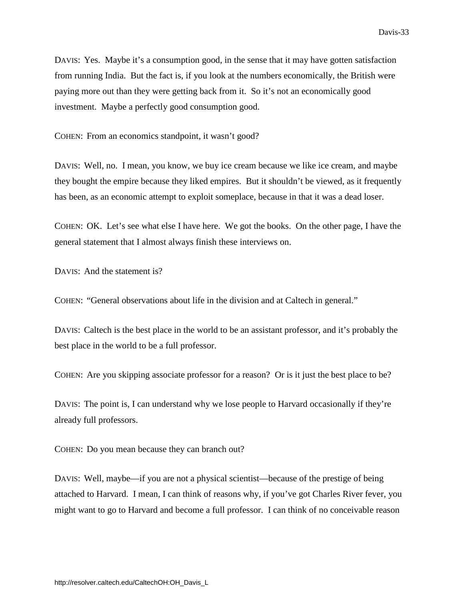<span id="page-36-0"></span>DAVIS: Yes. Maybe it's a consumption good, in the sense that it may have gotten satisfaction from running India. But the fact is, if you look at the numbers economically, the British were paying more out than they were getting back from it. So it's not an economically good investment. Maybe a perfectly good consumption good.

COHEN: From an economics standpoint, it wasn't good?

DAVIS: Well, no. I mean, you know, we buy ice cream because we like ice cream, and maybe they bought the empire because they liked empires. But it shouldn't be viewed, as it frequently has been, as an economic attempt to exploit someplace, because in that it was a dead loser.

COHEN: OK. Let's see what else I have here. We got the books. On the other page, I have the general statement that I almost always finish these interviews on.

DAVIS: And the statement is?

COHEN: "General observations about life in the division and at Caltech in general."

DAVIS: Caltech is the best place in the world to be an assistant professor, and it's probably the best place in the world to be a full professor.

COHEN: Are you skipping associate professor for a reason? Or is it just the best place to be?

DAVIS: The point is, I can understand why we lose people to Harvard occasionally if they're already full professors.

COHEN: Do you mean because they can branch out?

DAVIS: Well, maybe—if you are not a physical scientist—because of the prestige of being attached to Harvard. I mean, I can think of reasons why, if you've got Charles River fever, you might want to go to Harvard and become a full professor. I can think of no conceivable reason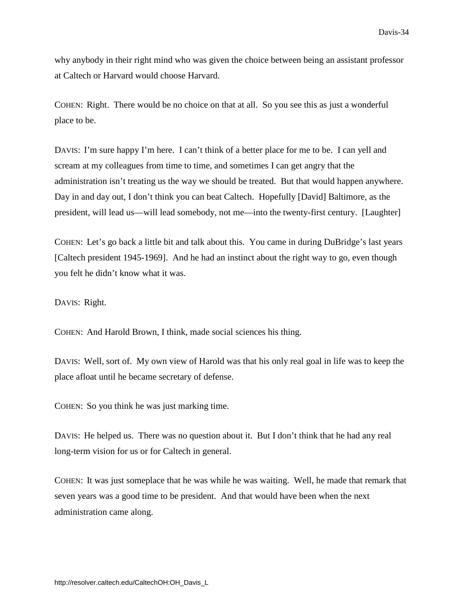why anybody in their right mind who was given the choice between being an assistant professor at Caltech or Harvard would choose Harvard.

COHEN: Right. There would be no choice on that at all. So you see this as just a wonderful place to be.

DAVIS: I'm sure happy I'm here. I can't think of a better place for me to be. I can yell and scream at my colleagues from time to time, and sometimes I can get angry that the administration isn't treating us the way we should be treated. But that would happen anywhere. Day in and day out, I don't think you can beat Caltech. Hopefully [David] Baltimore, as the president, will lead us—will lead somebody, not me—into the twenty-first century. [Laughter]

COHEN: Let's go back a little bit and talk about this. You came in during DuBridge's last years [Caltech president 1945-1969]. And he had an instinct about the right way to go, even though you felt he didn't know what it was.

DAVIS: Right.

COHEN: And Harold Brown, I think, made social sciences his thing.

DAVIS: Well, sort of. My own view of Harold was that his only real goal in life was to keep the place afloat until he became secretary of defense.

COHEN: So you think he was just marking time.

DAVIS: He helped us. There was no question about it. But I don't think that he had any real long-term vision for us or for Caltech in general.

COHEN: It was just someplace that he was while he was waiting. Well, he made that remark that seven years was a good time to be president. And that would have been when the next administration came along.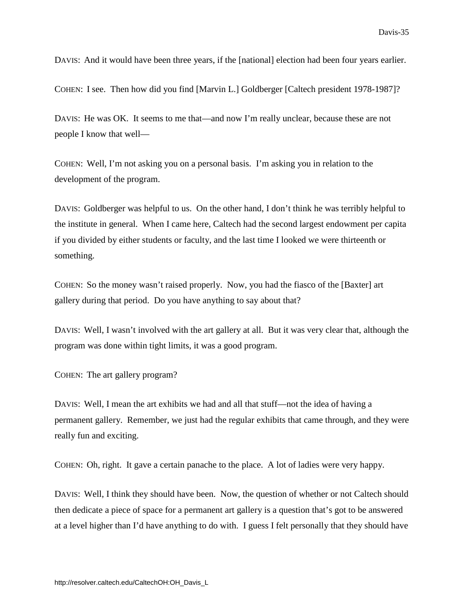DAVIS: And it would have been three years, if the [national] election had been four years earlier.

COHEN: I see. Then how did you find [Marvin L.] Goldberger [Caltech president 1978-1987]?

DAVIS: He was OK. It seems to me that—and now I'm really unclear, because these are not people I know that well—

COHEN: Well, I'm not asking you on a personal basis. I'm asking you in relation to the development of the program.

DAVIS: Goldberger was helpful to us. On the other hand, I don't think he was terribly helpful to the institute in general. When I came here, Caltech had the second largest endowment per capita if you divided by either students or faculty, and the last time I looked we were thirteenth or something.

COHEN: So the money wasn't raised properly. Now, you had the fiasco of the [Baxter] art gallery during that period. Do you have anything to say about that?

DAVIS: Well, I wasn't involved with the art gallery at all. But it was very clear that, although the program was done within tight limits, it was a good program.

COHEN: The art gallery program?

DAVIS: Well, I mean the art exhibits we had and all that stuff—not the idea of having a permanent gallery. Remember, we just had the regular exhibits that came through, and they were really fun and exciting.

COHEN: Oh, right. It gave a certain panache to the place. A lot of ladies were very happy.

DAVIS: Well, I think they should have been. Now, the question of whether or not Caltech should then dedicate a piece of space for a permanent art gallery is a question that's got to be answered at a level higher than I'd have anything to do with. I guess I felt personally that they should have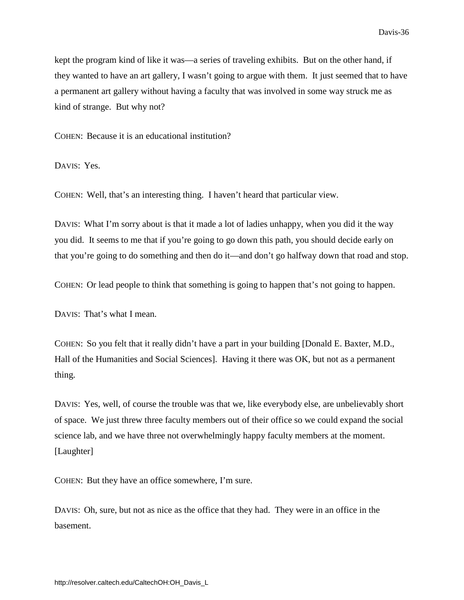kept the program kind of like it was—a series of traveling exhibits. But on the other hand, if they wanted to have an art gallery, I wasn't going to argue with them. It just seemed that to have a permanent art gallery without having a faculty that was involved in some way struck me as kind of strange. But why not?

COHEN: Because it is an educational institution?

DAVIS: Yes.

COHEN: Well, that's an interesting thing. I haven't heard that particular view.

DAVIS: What I'm sorry about is that it made a lot of ladies unhappy, when you did it the way you did. It seems to me that if you're going to go down this path, you should decide early on that you're going to do something and then do it—and don't go halfway down that road and stop.

COHEN: Or lead people to think that something is going to happen that's not going to happen.

DAVIS: That's what I mean.

COHEN: So you felt that it really didn't have a part in your building [Donald E. Baxter, M.D., Hall of the Humanities and Social Sciences]. Having it there was OK, but not as a permanent thing.

DAVIS: Yes, well, of course the trouble was that we, like everybody else, are unbelievably short of space. We just threw three faculty members out of their office so we could expand the social science lab, and we have three not overwhelmingly happy faculty members at the moment. [Laughter]

COHEN: But they have an office somewhere, I'm sure.

DAVIS: Oh, sure, but not as nice as the office that they had. They were in an office in the basement.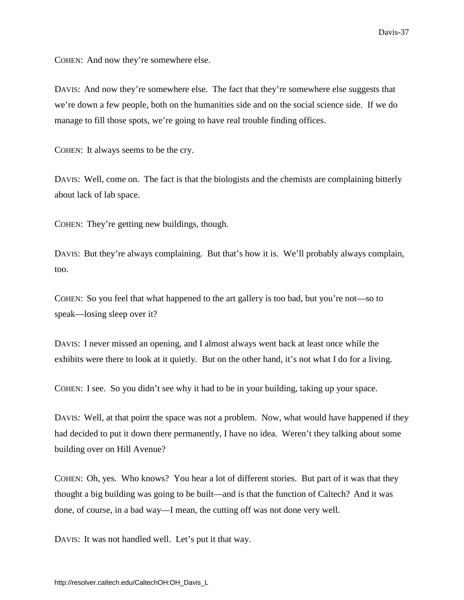COHEN: And now they're somewhere else.

DAVIS: And now they're somewhere else. The fact that they're somewhere else suggests that we're down a few people, both on the humanities side and on the social science side. If we do manage to fill those spots, we're going to have real trouble finding offices.

COHEN: It always seems to be the cry.

DAVIS: Well, come on. The fact is that the biologists and the chemists are complaining bitterly about lack of lab space.

COHEN: They're getting new buildings, though.

DAVIS: But they're always complaining. But that's how it is. We'll probably always complain, too.

COHEN: So you feel that what happened to the art gallery is too bad, but you're not—so to speak—losing sleep over it?

DAVIS: I never missed an opening, and I almost always went back at least once while the exhibits were there to look at it quietly. But on the other hand, it's not what I do for a living.

COHEN: I see. So you didn't see why it had to be in your building, taking up your space.

DAVIS: Well, at that point the space was not a problem. Now, what would have happened if they had decided to put it down there permanently, I have no idea. Weren't they talking about some building over on Hill Avenue?

COHEN: Oh, yes. Who knows? You hear a lot of different stories. But part of it was that they thought a big building was going to be built—and is that the function of Caltech? And it was done, of course, in a bad way—I mean, the cutting off was not done very well.

DAVIS: It was not handled well. Let's put it that way.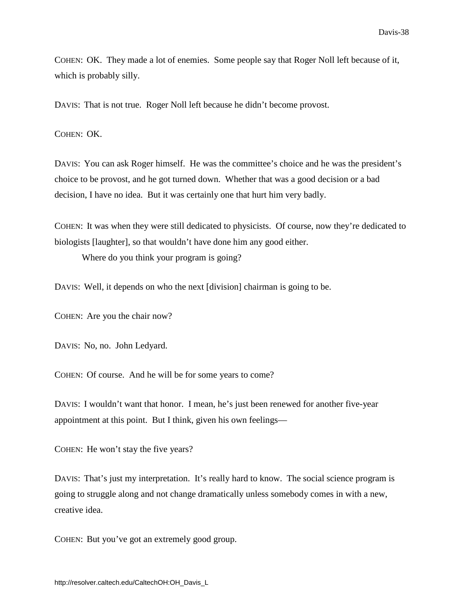COHEN: OK. They made a lot of enemies. Some people say that Roger Noll left because of it, which is probably silly.

DAVIS: That is not true. Roger Noll left because he didn't become provost.

COHEN: OK.

DAVIS: You can ask Roger himself. He was the committee's choice and he was the president's choice to be provost, and he got turned down. Whether that was a good decision or a bad decision, I have no idea. But it was certainly one that hurt him very badly.

COHEN: It was when they were still dedicated to physicists. Of course, now they're dedicated to biologists [laughter], so that wouldn't have done him any good either.

Where do you think your program is going?

DAVIS: Well, it depends on who the next [division] chairman is going to be.

COHEN: Are you the chair now?

DAVIS: No, no. John Ledyard.

COHEN: Of course. And he will be for some years to come?

DAVIS: I wouldn't want that honor. I mean, he's just been renewed for another five-year appointment at this point. But I think, given his own feelings—

COHEN: He won't stay the five years?

DAVIS: That's just my interpretation. It's really hard to know. The social science program is going to struggle along and not change dramatically unless somebody comes in with a new, creative idea.

COHEN: But you've got an extremely good group.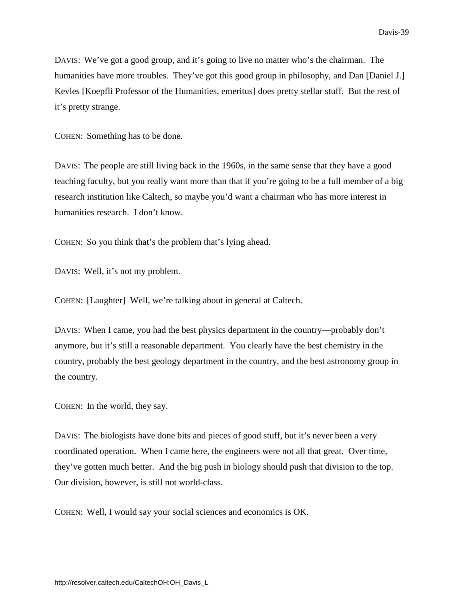DAVIS: We've got a good group, and it's going to live no matter who's the chairman. The humanities have more troubles. They've got this good group in philosophy, and Dan [Daniel J.] Kevles [Koepfli Professor of the Humanities, emeritus] does pretty stellar stuff. But the rest of it's pretty strange.

COHEN: Something has to be done.

DAVIS: The people are still living back in the 1960s, in the same sense that they have a good teaching faculty, but you really want more than that if you're going to be a full member of a big research institution like Caltech, so maybe you'd want a chairman who has more interest in humanities research. I don't know.

COHEN: So you think that's the problem that's lying ahead.

DAVIS: Well, it's not my problem.

COHEN: [Laughter] Well, we're talking about in general at Caltech.

DAVIS: When I came, you had the best physics department in the country—probably don't anymore, but it's still a reasonable department. You clearly have the best chemistry in the country, probably the best geology department in the country, and the best astronomy group in the country.

COHEN: In the world, they say.

DAVIS: The biologists have done bits and pieces of good stuff, but it's never been a very coordinated operation. When I came here, the engineers were not all that great. Over time, they've gotten much better. And the big push in biology should push that division to the top. Our division, however, is still not world-class.

COHEN: Well, I would say your social sciences and economics is OK.